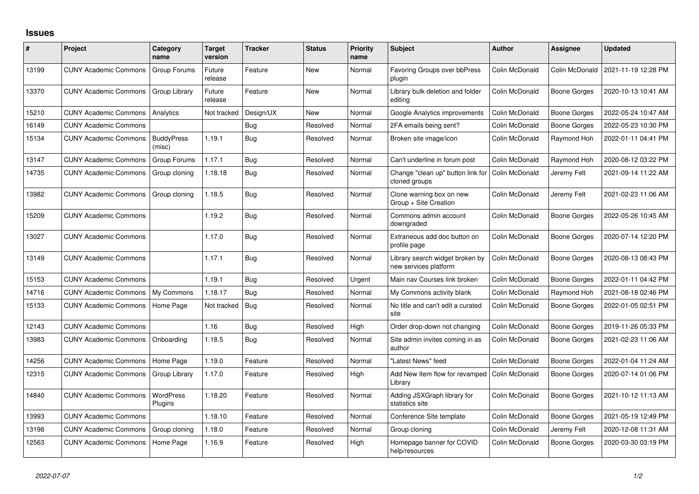## **Issues**

| #     | Project                      | Category<br>name            | <b>Target</b><br>version | <b>Tracker</b> | <b>Status</b> | <b>Priority</b><br>name | <b>Subject</b>                                           | <b>Author</b>  | Assignee            | <b>Updated</b>      |
|-------|------------------------------|-----------------------------|--------------------------|----------------|---------------|-------------------------|----------------------------------------------------------|----------------|---------------------|---------------------|
| 13199 | <b>CUNY Academic Commons</b> | Group Forums                | Future<br>release        | Feature        | <b>New</b>    | Normal                  | <b>Favoring Groups over bbPress</b><br>plugin            | Colin McDonald | Colin McDonald      | 2021-11-19 12:28 PM |
| 13370 | <b>CUNY Academic Commons</b> | Group Library               | Future<br>release        | Feature        | <b>New</b>    | Normal                  | Library bulk deletion and folder<br>editina              | Colin McDonald | <b>Boone Gorges</b> | 2020-10-13 10:41 AM |
| 15210 | <b>CUNY Academic Commons</b> | Analytics                   | Not tracked              | Design/UX      | <b>New</b>    | Normal                  | Google Analytics improvements                            | Colin McDonald | <b>Boone Gorges</b> | 2022-05-24 10:47 AM |
| 16149 | <b>CUNY Academic Commons</b> |                             |                          | Bug            | Resolved      | Normal                  | 2FA emails being sent?                                   | Colin McDonald | <b>Boone Gorges</b> | 2022-05-23 10:30 PM |
| 15134 | <b>CUNY Academic Commons</b> | <b>BuddyPress</b><br>(misc) | 1.19.1                   | Bug            | Resolved      | Normal                  | Broken site image/icon                                   | Colin McDonald | Raymond Hoh         | 2022-01-11 04:41 PM |
| 13147 | <b>CUNY Academic Commons</b> | Group Forums                | 1.17.1                   | Bug            | Resolved      | Normal                  | Can't underline in forum post                            | Colin McDonald | Raymond Hoh         | 2020-08-12 03:22 PM |
| 14735 | <b>CUNY Academic Commons</b> | Group cloning               | 1.18.18                  | Bug            | Resolved      | Normal                  | Change "clean up" button link for<br>cloned groups       | Colin McDonald | Jeremy Felt         | 2021-09-14 11:22 AM |
| 13982 | <b>CUNY Academic Commons</b> | Group cloning               | 1.18.5                   | Bug            | Resolved      | Normal                  | Clone warning box on new<br>Group + Site Creation        | Colin McDonald | Jeremy Felt         | 2021-02-23 11:06 AM |
| 15209 | <b>CUNY Academic Commons</b> |                             | 1.19.2                   | Bug            | Resolved      | Normal                  | Commons admin account<br>downgraded                      | Colin McDonald | <b>Boone Gorges</b> | 2022-05-26 10:45 AM |
| 13027 | <b>CUNY Academic Commons</b> |                             | 1.17.0                   | Bug            | Resolved      | Normal                  | Extraneous add doc button on<br>profile page             | Colin McDonald | <b>Boone Gorges</b> | 2020-07-14 12:20 PM |
| 13149 | <b>CUNY Academic Commons</b> |                             | 1.17.1                   | Bug            | Resolved      | Normal                  | Library search widget broken by<br>new services platform | Colin McDonald | <b>Boone Gorges</b> | 2020-08-13 08:43 PM |
| 15153 | <b>CUNY Academic Commons</b> |                             | 1.19.1                   | Bug            | Resolved      | Urgent                  | Main nav Courses link broken                             | Colin McDonald | <b>Boone Gorges</b> | 2022-01-11 04:42 PM |
| 14716 | <b>CUNY Academic Commons</b> | My Commons                  | 1.18.17                  | Bug            | Resolved      | Normal                  | My Commons activity blank                                | Colin McDonald | Raymond Hoh         | 2021-08-18 02:46 PM |
| 15133 | <b>CUNY Academic Commons</b> | Home Page                   | Not tracked              | Bug            | Resolved      | Normal                  | No title and can't edit a curated<br>site                | Colin McDonald | <b>Boone Gorges</b> | 2022-01-05 02:51 PM |
| 12143 | <b>CUNY Academic Commons</b> |                             | 1.16                     | Bug            | Resolved      | High                    | Order drop-down not changing                             | Colin McDonald | <b>Boone Gorges</b> | 2019-11-26 05:33 PM |
| 13983 | <b>CUNY Academic Commons</b> | Onboarding                  | 1.18.5                   | <b>Bug</b>     | Resolved      | Normal                  | Site admin invites coming in as<br>author                | Colin McDonald | <b>Boone Gorges</b> | 2021-02-23 11:06 AM |
| 14256 | <b>CUNY Academic Commons</b> | Home Page                   | 1.19.0                   | Feature        | Resolved      | Normal                  | "Latest News" feed                                       | Colin McDonald | <b>Boone Gorges</b> | 2022-01-04 11:24 AM |
| 12315 | <b>CUNY Academic Commons</b> | Group Library               | 1.17.0                   | Feature        | Resolved      | High                    | Add New Item flow for revamped<br>Library                | Colin McDonald | Boone Gorges        | 2020-07-14 01:06 PM |
| 14840 | <b>CUNY Academic Commons</b> | WordPress<br>Plugins        | 1.18.20                  | Feature        | Resolved      | Normal                  | Adding JSXGraph library for<br>statistics site           | Colin McDonald | <b>Boone Gorges</b> | 2021-10-12 11:13 AM |
| 13993 | <b>CUNY Academic Commons</b> |                             | 1.18.10                  | Feature        | Resolved      | Normal                  | Conference Site template                                 | Colin McDonald | <b>Boone Gorges</b> | 2021-05-19 12:49 PM |
| 13198 | <b>CUNY Academic Commons</b> | Group cloning               | 1.18.0                   | Feature        | Resolved      | Normal                  | Group cloning                                            | Colin McDonald | Jeremy Felt         | 2020-12-08 11:31 AM |
| 12563 | <b>CUNY Academic Commons</b> | Home Page                   | 1.16.9                   | Feature        | Resolved      | High                    | Homepage banner for COVID<br>help/resources              | Colin McDonald | <b>Boone Gorges</b> | 2020-03-30 03:19 PM |